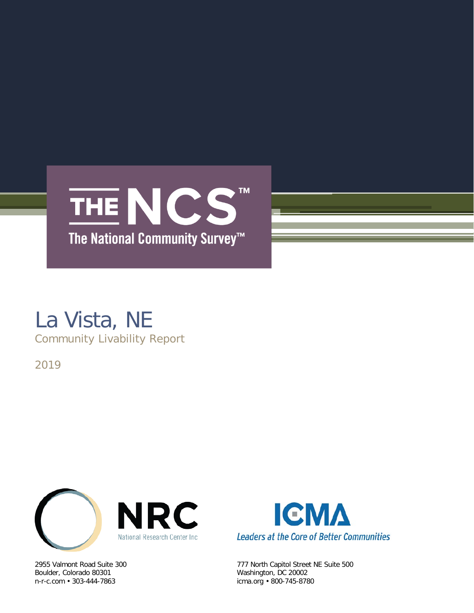

# La Vista, NE

Community Livability Report

2019



Boulder, Colorado 80301 Washington, DC 20002



2955 Valmont Road Suite 300 777 North Capitol Street NE Suite 500 icma.org • 800-745-8780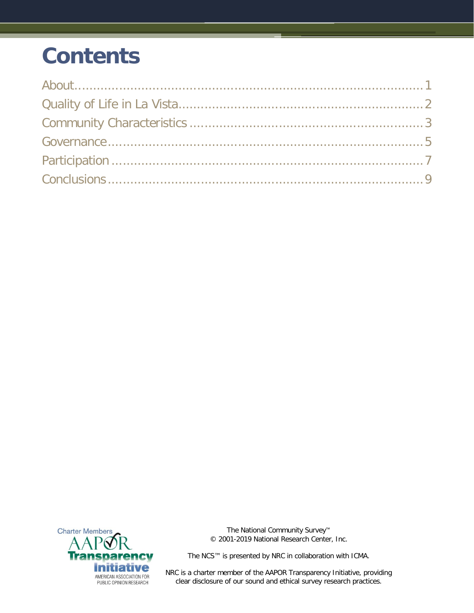## **Contents**



The National Community Survey™ © 2001-2019 National Research Center, Inc.

The NCS™ is presented by NRC in collaboration with ICMA.

NRC is a charter member of the AAPOR Transparency Initiative, providing clear disclosure of our sound and ethical survey research practices.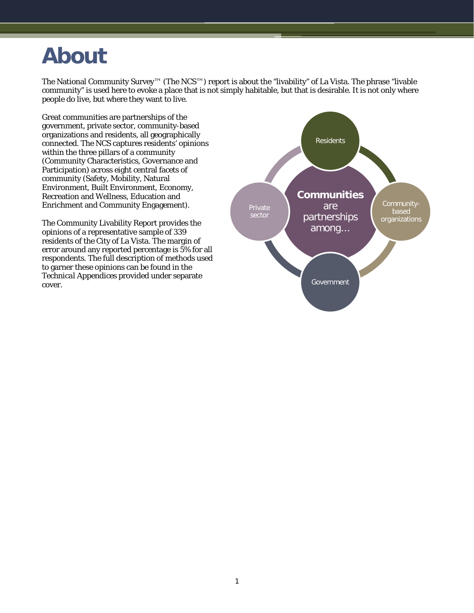### <span id="page-2-0"></span>**About**

The National Community Survey™ (The NCS™) report is about the "livability" of La Vista. The phrase "livable community" is used here to evoke a place that is not simply habitable, but that is desirable. It is not only where people do live, but where they want to live.

Great communities are partnerships of the government, private sector, community-based organizations and residents, all geographically connected. The NCS captures residents' opinions within the three pillars of a community (Community Characteristics, Governance and Participation) across eight central facets of community (Safety, Mobility, Natural Environment, Built Environment, Economy, Recreation and Wellness, Education and Enrichment and Community Engagement).

The Community Livability Report provides the opinions of a representative sample of 339 residents of the City of La Vista. The margin of error around any reported percentage is 5% for all respondents. The full description of methods used to garner these opinions can be found in the *Technical Appendices* provided under separate cover.

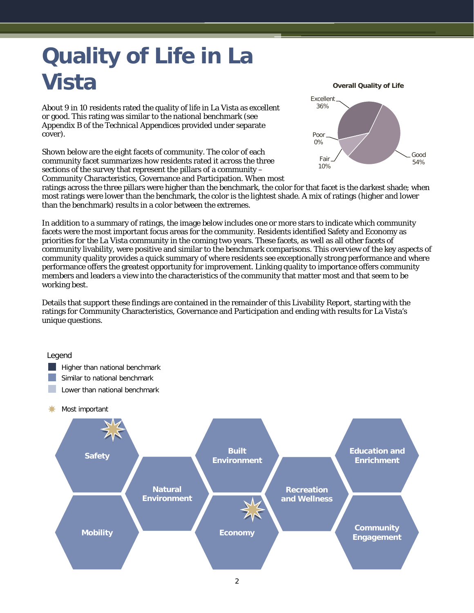## <span id="page-3-0"></span>**Quality of Life in La Vista**

About 9 in 10 residents rated the quality of life in La Vista as excellent or good. This rating was similar to the national benchmark (see Appendix B of the *Technical Appendices* provided under separate cover).

Shown below are the eight facets of community. The color of each community facet summarizes how residents rated it across the three sections of the survey that represent the pillars of a community – Community Characteristics, Governance and Participation. When most **Overall Quality of Life**



ratings across the three pillars were higher than the benchmark, the color for that facet is the darkest shade; when most ratings were lower than the benchmark, the color is the lightest shade. A mix of ratings (higher and lower than the benchmark) results in a color between the extremes.

In addition to a summary of ratings, the image below includes one or more stars to indicate which community facets were the most important focus areas for the community. Residents identified Safety and Economy as priorities for the La Vista community in the coming two years. These facets, as well as all other facets of community livability, were positive and similar to the benchmark comparisons. This overview of the key aspects of community quality provides a quick summary of where residents see exceptionally strong performance and where performance offers the greatest opportunity for improvement. Linking quality to importance offers community members and leaders a view into the characteristics of the community that matter most and that seem to be working best.

Details that support these findings are contained in the remainder of this Livability Report, starting with the ratings for Community Characteristics, Governance and Participation and ending with results for La Vista's unique questions.

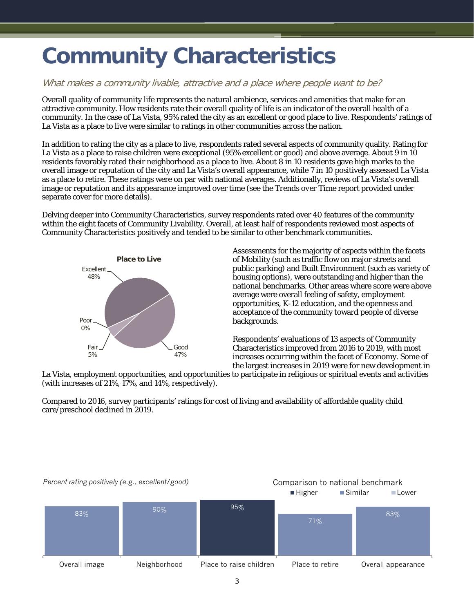### <span id="page-4-0"></span>**Community Characteristics**

#### What makes a community livable, attractive and a place where people want to be?

Overall quality of community life represents the natural ambience, services and amenities that make for an attractive community. How residents rate their overall quality of life is an indicator of the overall health of a community. In the case of La Vista, 95% rated the city as an excellent or good place to live. Respondents' ratings of La Vista as a place to live were similar to ratings in other communities across the nation.

In addition to rating the city as a place to live, respondents rated several aspects of community quality. Rating for La Vista as a place to raise children were exceptional (95% excellent or good) and above average. About 9 in 10 residents favorably rated their neighborhood as a place to live. About 8 in 10 residents gave high marks to the overall image or reputation of the city and La Vista's overall appearance, while 7 in 10 positively assessed La Vista as a place to retire. These ratings were on par with national averages. Additionally, reviews of La Vista's overall image or reputation and its appearance improved over time (see the *Trends over Time* report provided under separate cover for more details).

Delving deeper into Community Characteristics, survey respondents rated over 40 features of the community within the eight facets of Community Livability. Overall, at least half of respondents reviewed most aspects of Community Characteristics positively and tended to be similar to other benchmark communities.



Assessments for the majority of aspects within the facets of Mobility (such as traffic flow on major streets and public parking) and Built Environment (such as variety of housing options), were outstanding and higher than the national benchmarks. Other areas where score were above average were overall feeling of safety, employment opportunities, K-12 education, and the openness and acceptance of the community toward people of diverse backgrounds.

Respondents' evaluations of 13 aspects of Community Characteristics improved from 2016 to 2019, with most increases occurring within the facet of Economy. Some of the largest increases in 2019 were for new development in

La Vista, employment opportunities, and opportunities to participate in religious or spiritual events and activities (with increases of 21%, 17%, and 14%, respectively).

Compared to 2016, survey participants' ratings for cost of living and availability of affordable quality child care/preschool declined in 2019.

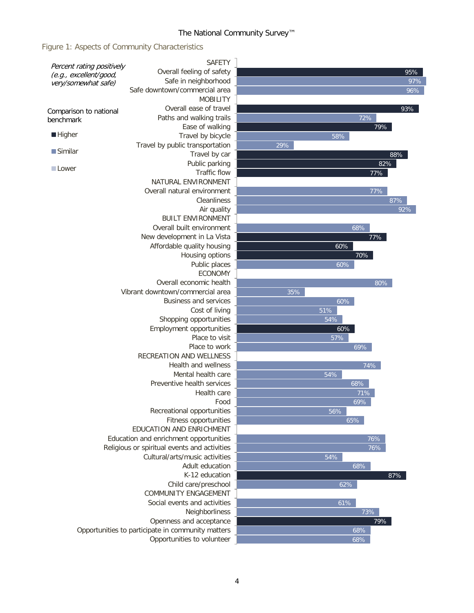### The National Community Survey™

Figure 1: Aspects of Community Characteristics

| Percent rating positively           | <b>SAFETY</b>                                     |                |
|-------------------------------------|---------------------------------------------------|----------------|
| (e.g., excellent/good,              | Overall feeling of safety                         | 95%            |
| very/somewhat safe)                 | Safe in neighborhood                              | 97%            |
|                                     | Safe downtown/commercial area                     | 96%            |
|                                     | <b>MOBILITY</b>                                   |                |
|                                     | Overall ease of travel                            | 93%            |
| Comparison to national<br>benchmark | Paths and walking trails                          | 72%            |
|                                     | Ease of walking                                   | 79%            |
| <b>Higher</b>                       | Travel by bicycle                                 | 58%            |
|                                     | Travel by public transportation                   | 29%            |
| $\blacksquare$ Similar              | Travel by car                                     | 88%            |
|                                     | Public parking                                    | 82%            |
| <b>Lower</b>                        | <b>Traffic flow</b>                               | 77%            |
|                                     | NATURAL ENVIRONMENT                               |                |
|                                     | Overall natural environment                       | 77%            |
|                                     | Cleanliness                                       | 87%            |
|                                     |                                                   |                |
|                                     | Air quality                                       | 92%            |
|                                     | <b>BUILT ENVIRONMENT</b>                          |                |
|                                     | Overall built environment                         | 68%            |
|                                     | New development in La Vista                       | 77%            |
|                                     | Affordable quality housing                        | 60%            |
|                                     | Housing options                                   | 70%            |
|                                     | Public places                                     | 60%            |
|                                     | <b>ECONOMY</b>                                    |                |
|                                     | Overall economic health                           | 80%            |
|                                     | Vibrant downtown/commercial area                  | 35%            |
|                                     | <b>Business and services</b>                      | 60%            |
|                                     | Cost of living                                    | 51%            |
|                                     | Shopping opportunities                            | 54%            |
|                                     | Employment opportunities                          | 60%            |
|                                     | Place to visit                                    | $\frac{57}{6}$ |
|                                     | Place to work                                     | 69%            |
|                                     | <b>RECREATION AND WELLNESS</b>                    |                |
|                                     | <b>Health and wellness</b>                        | 74%            |
|                                     | Mental health care                                | 54%            |
|                                     | Preventive health services                        | 68%            |
|                                     | Health care                                       | 71%            |
|                                     | Food                                              | 69%            |
|                                     | Recreational opportunities                        | 56%            |
|                                     | Fitness opportunities                             | 65%            |
|                                     | EDUCATION AND ENRICHMENT                          |                |
|                                     | Education and enrichment opportunities            | 76%            |
|                                     | Religious or spiritual events and activities      | 76%            |
|                                     | Cultural/arts/music activities                    | 54%            |
|                                     | Adult education                                   | 68%            |
|                                     | K-12 education                                    | 87%            |
|                                     | Child care/preschool                              | 62%            |
|                                     | <b>COMMUNITY ENGAGEMENT</b>                       |                |
|                                     | Social events and activities                      | 61%            |
|                                     | Neighborliness                                    | 73%            |
|                                     | Openness and acceptance                           | 79%            |
|                                     | Opportunities to participate in community matters | 68%            |
|                                     | Opportunities to volunteer                        | 68%            |
|                                     |                                                   |                |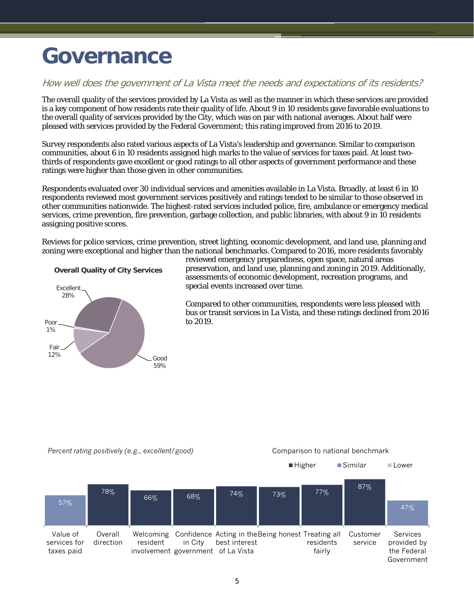### <span id="page-6-0"></span>**Governance**

#### How well does the government of La Vista meet the needs and expectations of its residents?

The overall quality of the services provided by La Vista as well as the manner in which these services are provided is a key component of how residents rate their quality of life. About 9 in 10 residents gave favorable evaluations to the overall quality of services provided by the City, which was on par with national averages. About half were pleased with services provided by the Federal Government; this rating improved from 2016 to 2019.

Survey respondents also rated various aspects of La Vista's leadership and governance. Similar to comparison communities, about 6 in 10 residents assigned high marks to the value of services for taxes paid. At least twothirds of respondents gave excellent or good ratings to all other aspects of government performance and these ratings were higher than those given in other communities.

Respondents evaluated over 30 individual services and amenities available in La Vista. Broadly, at least 6 in 10 respondents reviewed most government services positively and ratings tended to be similar to those observed in other communities nationwide. The highest-rated services included police, fire, ambulance or emergency medical services, crime prevention, fire prevention, garbage collection, and public libraries, with about 9 in 10 residents assigning positive scores.

Reviews for police services, crime prevention, street lighting, economic development, and land use, planning and zoning were exceptional and higher than the national benchmarks. Compared to 2016, more residents favorably

**Overall Quality of City Services**



reviewed emergency preparedness, open space, natural areas preservation, and land use, planning and zoning in 2019. Additionally, assessments of economic development, recreation programs, and special events increased over time.

Compared to other communities, respondents were less pleased with bus or transit services in La Vista, and these ratings declined from 2016 to 2019.



■Higher Bimilar Lower

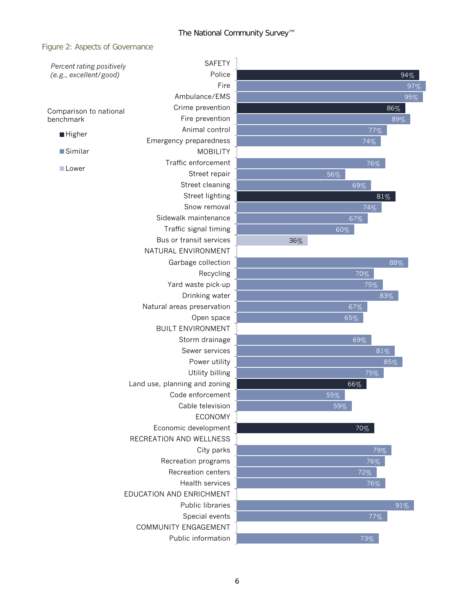#### The National Community Survey™

#### Figure 2: Aspects of Governance

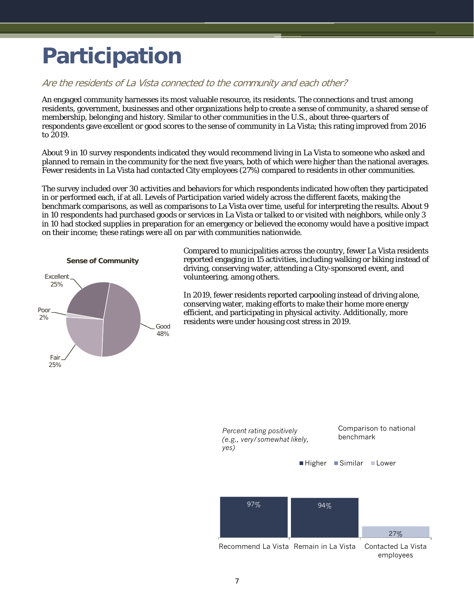### <span id="page-8-0"></span>**Participation**

#### Are the residents of La Vista connected to the community and each other?

An engaged community harnesses its most valuable resource, its residents. The connections and trust among residents, government, businesses and other organizations help to create a sense of community, a shared sense of membership, belonging and history. Similar to other communities in the U.S., about three-quarters of respondents gave excellent or good scores to the sense of community in La Vista; this rating improved from 2016 to 2019.

About 9 in 10 survey respondents indicated they would recommend living in La Vista to someone who asked and planned to remain in the community for the next five years, both of which were higher than the national averages. Fewer residents in La Vista had contacted City employees (27%) compared to residents in other communities.

The survey included over 30 activities and behaviors for which respondents indicated how often they participated in or performed each, if at all. Levels of Participation varied widely across the different facets, making the benchmark comparisons, as well as comparisons to La Vista over time, useful for interpreting the results. About 9 in 10 respondents had purchased goods or services in La Vista or talked to or visited with neighbors, while only 3 in 10 had stocked supplies in preparation for an emergency or believed the economy would have a positive impact on their income; these ratings were all on par with communities nationwide.



Compared to municipalities across the country, fewer La Vista residents reported engaging in 15 activities, including walking or biking instead of driving, conserving water, attending a City-sponsored event, and volunteering, among others.

In 2019, fewer residents reported carpooling instead of driving alone, conserving water, making efforts to make their home more energy efficient, and participating in physical activity. Additionally, more residents were under housing cost stress in 2019.

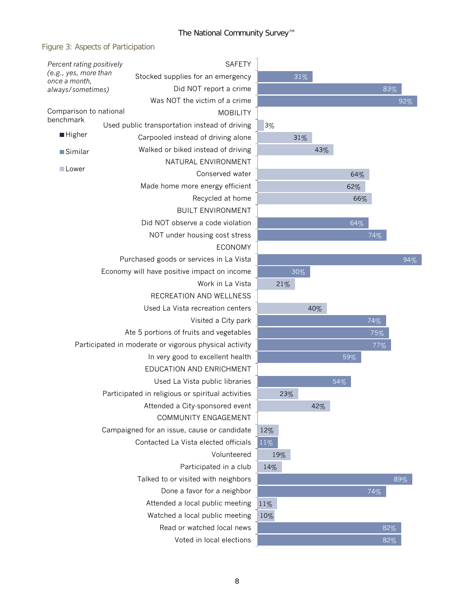Figure 3: Aspects of Participation

|                                                        |  |                                                   |  |                                                         | <b>SAFETY</b>   |     |     |        |     |     |     |     |
|--------------------------------------------------------|--|---------------------------------------------------|--|---------------------------------------------------------|-----------------|-----|-----|--------|-----|-----|-----|-----|
| Percent rating positively<br>(e.g., yes, more than     |  |                                                   |  |                                                         |                 |     |     |        |     |     |     |     |
| once a month,                                          |  | Stocked supplies for an emergency                 |  |                                                         |                 |     |     | 31%    |     |     |     |     |
| always/sometimes)                                      |  |                                                   |  | Did NOT report a crime<br>Was NOT the victim of a crime |                 |     |     |        |     |     |     | 8   |
| Comparison to national                                 |  |                                                   |  |                                                         | <b>MOBILITY</b> |     |     |        |     |     |     |     |
| benchmark                                              |  |                                                   |  |                                                         |                 |     |     |        |     |     |     |     |
| ■ Higher                                               |  | Used public transportation instead of driving     |  |                                                         |                 | 3%  |     |        |     |     |     |     |
|                                                        |  |                                                   |  | Carpooled instead of driving alone                      |                 |     |     | 31%    |     |     |     |     |
| Similar                                                |  |                                                   |  | Walked or biked instead of driving                      |                 |     |     |        | 43% |     |     |     |
| <b>Lower</b>                                           |  |                                                   |  | NATURAL ENVIRONMENT                                     |                 |     |     |        |     |     |     |     |
|                                                        |  |                                                   |  | Conserved water                                         |                 |     |     |        |     |     | 64% |     |
|                                                        |  |                                                   |  | Made home more energy efficient                         |                 |     |     |        |     |     | 62% |     |
|                                                        |  |                                                   |  | Recycled at home                                        |                 |     |     |        |     |     | 66% |     |
|                                                        |  |                                                   |  | <b>BUILT ENVIRONMENT</b>                                |                 |     |     |        |     |     |     |     |
|                                                        |  |                                                   |  | Did NOT observe a code violation                        |                 |     |     |        |     |     | 64% |     |
|                                                        |  |                                                   |  | NOT under housing cost stress                           |                 |     |     |        |     |     |     | 74% |
|                                                        |  |                                                   |  | <b>ECONOMY</b>                                          |                 |     |     |        |     |     |     |     |
|                                                        |  | Purchased goods or services in La Vista           |  |                                                         |                 |     |     |        |     |     |     |     |
| Economy will have positive impact on income            |  |                                                   |  |                                                         |                 |     |     | $30\%$ |     |     |     |     |
|                                                        |  |                                                   |  | Work in La Vista                                        |                 |     | 21% |        |     |     |     |     |
|                                                        |  |                                                   |  | RECREATION AND WELLNESS                                 |                 |     |     |        |     |     |     |     |
|                                                        |  |                                                   |  | Used La Vista recreation centers                        |                 |     |     |        | 40% |     |     |     |
| Visited a City park                                    |  |                                                   |  |                                                         |                 |     |     |        |     |     |     | 74% |
| Ate 5 portions of fruits and vegetables                |  |                                                   |  |                                                         |                 |     |     |        |     |     |     | 75% |
| Participated in moderate or vigorous physical activity |  |                                                   |  |                                                         |                 |     |     |        |     |     |     | 77% |
|                                                        |  |                                                   |  | In very good to excellent health                        |                 |     |     |        |     | 59% |     |     |
|                                                        |  |                                                   |  | EDUCATION AND ENRICHMENT                                |                 |     |     |        |     |     |     |     |
|                                                        |  |                                                   |  | Used La Vista public libraries                          |                 |     |     |        |     | 54% |     |     |
|                                                        |  | Participated in religious or spiritual activities |  |                                                         |                 |     | 23% |        |     |     |     |     |
|                                                        |  |                                                   |  | Attended a City-sponsored event                         |                 |     |     |        | 42% |     |     |     |
|                                                        |  |                                                   |  | COMMUNITY ENGAGEMENT                                    |                 |     |     |        |     |     |     |     |
|                                                        |  | Campaigned for an issue, cause or candidate       |  |                                                         |                 | 12% |     |        |     |     |     |     |
|                                                        |  | Contacted La Vista elected officials              |  |                                                         |                 | 11% |     |        |     |     |     |     |
|                                                        |  |                                                   |  | Volunteered                                             |                 |     | 19% |        |     |     |     |     |
|                                                        |  |                                                   |  | Participated in a club                                  |                 |     |     |        |     |     |     |     |
|                                                        |  |                                                   |  |                                                         |                 | 14% |     |        |     |     |     |     |
|                                                        |  |                                                   |  | Talked to or visited with neighbors                     |                 |     |     |        |     |     |     |     |
|                                                        |  |                                                   |  | Done a favor for a neighbor                             |                 |     |     |        |     |     |     | 74% |
|                                                        |  |                                                   |  | Attended a local public meeting                         |                 | 11% |     |        |     |     |     |     |
| Watched a local public meeting                         |  |                                                   |  |                                                         |                 | 10% |     |        |     |     |     |     |
| Read or watched local news                             |  |                                                   |  |                                                         |                 |     |     |        |     |     | 8   |     |
|                                                        |  |                                                   |  | Voted in local elections                                |                 |     |     |        |     |     |     | 8   |

82% 82

89%

94%

92%

83%